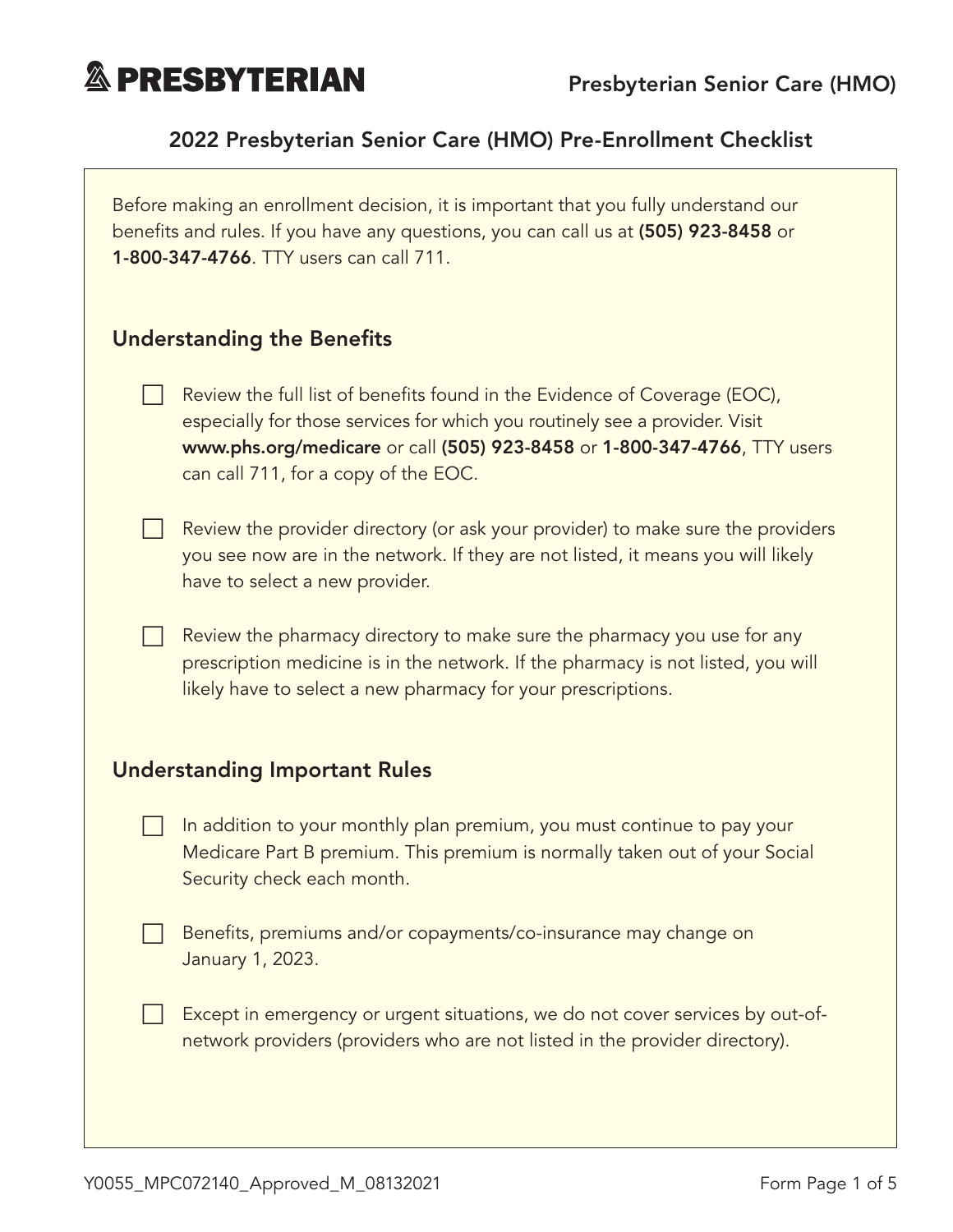

#### 2022 Presbyterian Senior Care (HMO) Pre-Enrollment Checklist

Before making an enrollment decision, it is important that you fully understand our benefits and rules. If you have any questions, you can call us at (505) 923-8458 or 1-800-347-4766. TTY users can call 711.

#### **Understanding the Benefits**

- Review the full list of benefits found in the Evidence of Coverage (EOC), especially for those services for which you routinely see a provider. Visit [www.phs.org/medicare](http://www.phs.org/medicare) or call (505) 923-8458 or 1-800-347-4766, TTY users can call 711, for a copy of the EOC.
- $\Box$  Review the provider directory (or ask your provider) to make sure the providers you see now are in the network. If they are not listed, it means you will likely have to select a new provider.
	- Review the pharmacy directory to make sure the pharmacy you use for any prescription medicine is in the network. If the pharmacy is not listed, you will likely have to select a new pharmacy for your prescriptions.

#### Understanding Important Rules

- In addition to your monthly plan premium, you must continue to pay your Medicare Part B premium. This premium is normally taken out of your Social Security check each month.
- Benefits, premiums and/or copayments/co-insurance may change on January 1, 2023.
	- Except in emergency or urgent situations, we do not cover services by out-ofnetwork providers (providers who are not listed in the provider directory).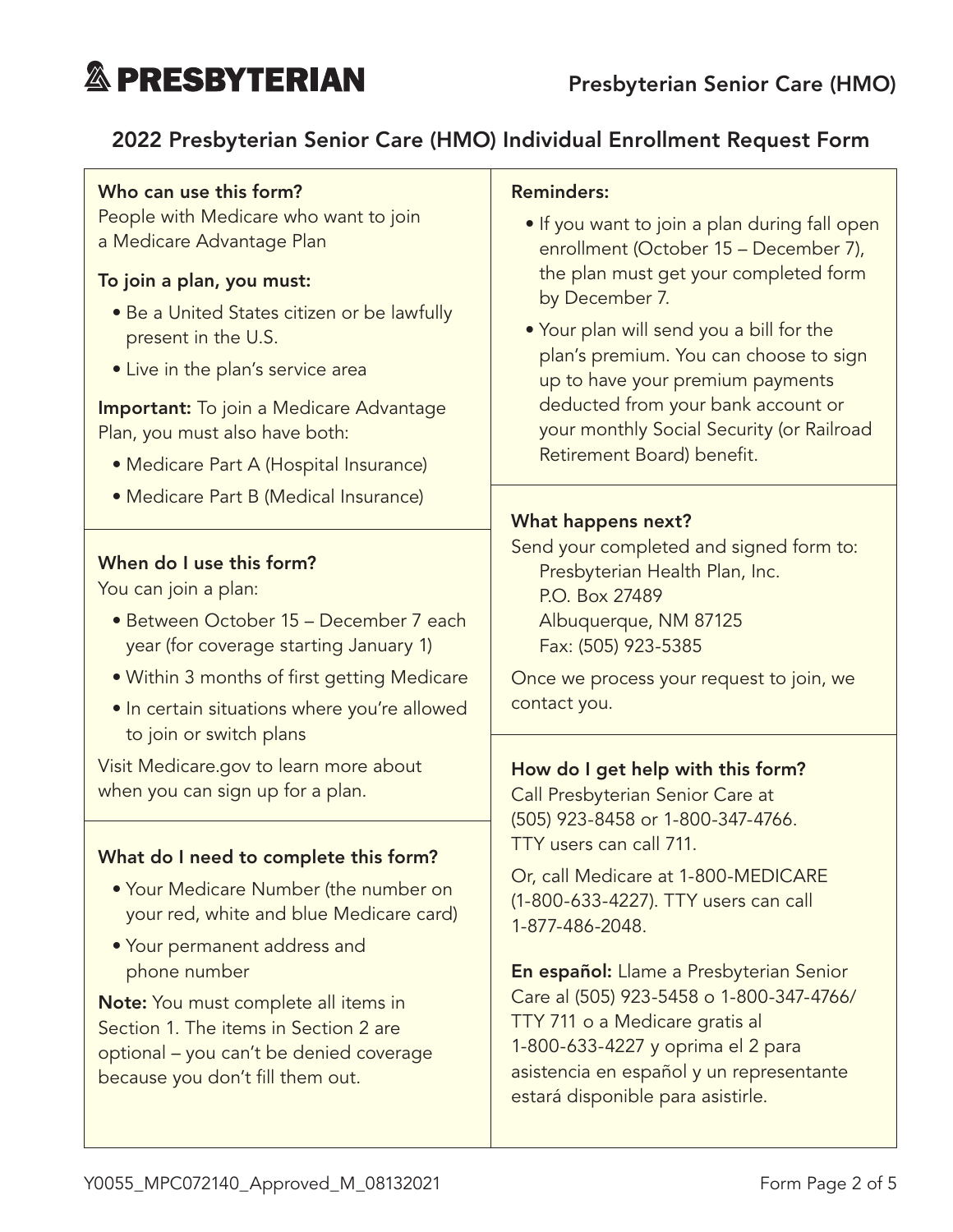# **& PRESBYTERIAN**

### 2022 Presbyterian Senior Care (HMO) Individual Enrollment Request Form

#### Who can use this form?

People with Medicare who want to join a Medicare Advantage Plan

#### To join a plan, you must:

- Be a United States citizen or be lawfully present in the U.S.
- Live in the plan's service area

**Important:** To join a Medicare Advantage Plan, you must also have both:

- Medicare Part A (Hospital Insurance)
- Medicare Part B (Medical Insurance)

#### When do I use this form?

You can join a plan:

- Between October 15 December 7 each year (for coverage starting January 1)
- Within 3 months of first getting Medicare
- In certain situations where you're allowed to join or switch plans

Visit [Medicare.gov](http://Medicare.gov) to learn more about when you can sign up for a plan.

#### What do I need to complete this form?

- Your Medicare Number (the number on your red, white and blue Medicare card)
- Your permanent address and phone number

Note: You must complete all items in Section 1. The items in Section 2 are optional – you can't be denied coverage because you don't fill them out.

#### Reminders:

- If you want to join a plan during fall open enrollment (October 15 – December 7), the plan must get your completed form by December 7.
- Your plan will send you a bill for the plan's premium. You can choose to sign up to have your premium payments deducted from your bank account or your monthly Social Security (or Railroad Retirement Board) benefit.

#### What happens next?

Send your completed and signed form to: Presbyterian Health Plan, Inc. P.O. Box 27489 Albuquerque, NM 87125 Fax: (505) 923-5385

Once we process your request to join, we contact you.

#### How do I get help with this form?

Call Presbyterian Senior Care at (505) 923-8458 or 1-800-347-4766. TTY users can call 711.

Or, call Medicare at 1-800-MEDICARE (1-800-633-4227). TTY users can call 1-877-486-2048.

En español: Llame a Presbyterian Senior Care al (505) 923-5458 o 1-800-347-4766/ TTY 711 o a Medicare gratis al 1-800-633-4227 y oprima el 2 para asistencia en español y un representante estará disponible para asistirle.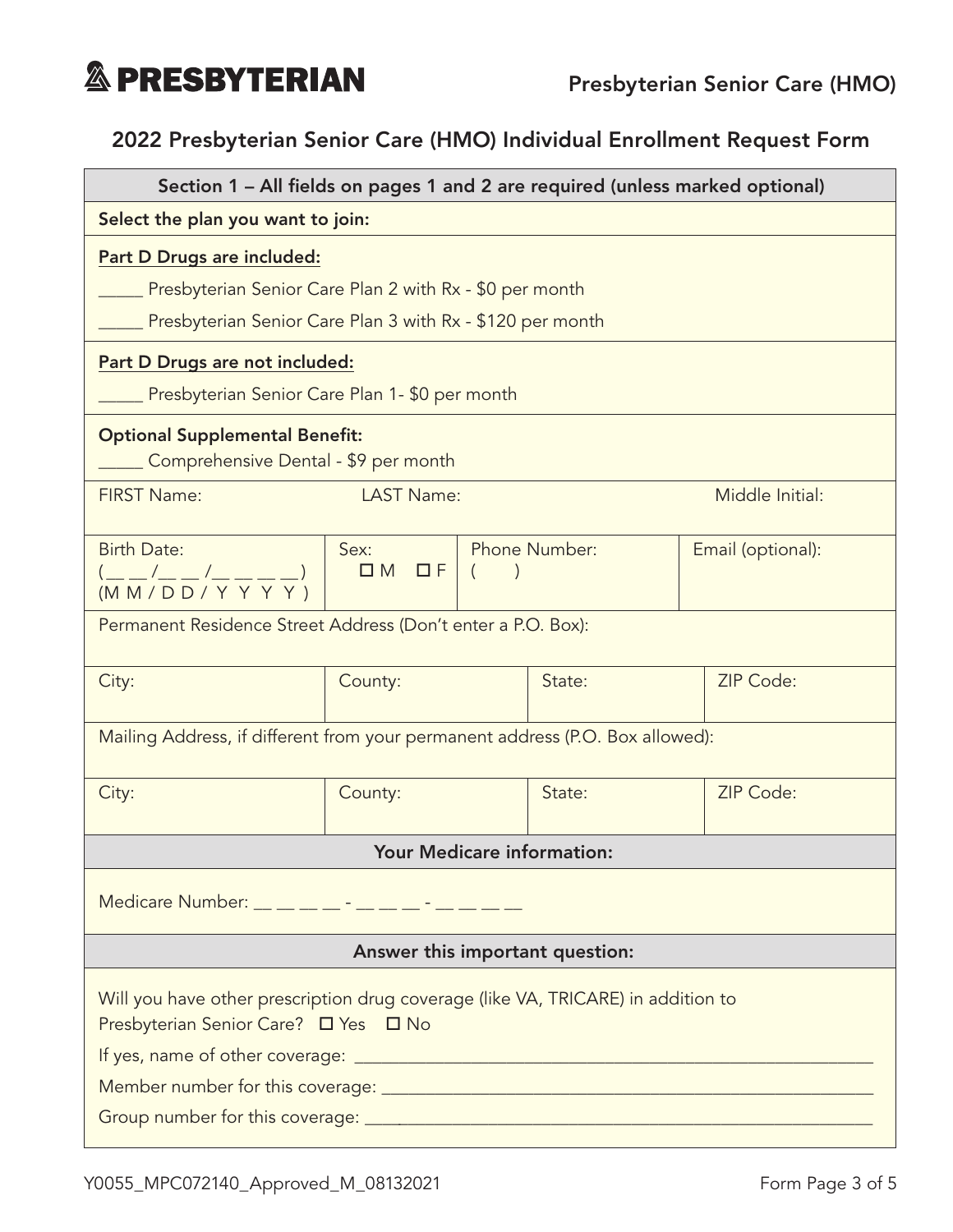

## 2022 Presbyterian Senior Care (HMO) Individual Enrollment Request Form

| Section 1 - All fields on pages 1 and 2 are required (unless marked optional)                                            |                       |  |                      |                   |  |
|--------------------------------------------------------------------------------------------------------------------------|-----------------------|--|----------------------|-------------------|--|
| Select the plan you want to join:                                                                                        |                       |  |                      |                   |  |
| Part D Drugs are included:                                                                                               |                       |  |                      |                   |  |
| Presbyterian Senior Care Plan 2 with Rx - \$0 per month                                                                  |                       |  |                      |                   |  |
| Presbyterian Senior Care Plan 3 with Rx - \$120 per month                                                                |                       |  |                      |                   |  |
| Part D Drugs are not included:                                                                                           |                       |  |                      |                   |  |
| Presbyterian Senior Care Plan 1- \$0 per month                                                                           |                       |  |                      |                   |  |
| <b>Optional Supplemental Benefit:</b><br>Comprehensive Dental - \$9 per month                                            |                       |  |                      |                   |  |
| <b>FIRST Name:</b>                                                                                                       | <b>LAST Name:</b>     |  | Middle Initial:      |                   |  |
| <b>Birth Date:</b><br>___/___/______)<br>(M M / D D / Y Y Y Y)                                                           | Sex:<br>$DM$ $DF$ $($ |  | <b>Phone Number:</b> | Email (optional): |  |
| Permanent Residence Street Address (Don't enter a P.O. Box):                                                             |                       |  |                      |                   |  |
| City:                                                                                                                    | County:               |  | State:               | ZIP Code:         |  |
| Mailing Address, if different from your permanent address (P.O. Box allowed):                                            |                       |  |                      |                   |  |
| City:                                                                                                                    | County:               |  | State:               | ZIP Code:         |  |
| <b>Your Medicare information:</b>                                                                                        |                       |  |                      |                   |  |
| Medicare Number: _ _ _ _ _ _ _ - _ _ _ _ _ _ _                                                                           |                       |  |                      |                   |  |
| Answer this important question:                                                                                          |                       |  |                      |                   |  |
| Will you have other prescription drug coverage (like VA, TRICARE) in addition to<br>Presbyterian Senior Care? □ Yes □ No |                       |  |                      |                   |  |
|                                                                                                                          |                       |  |                      |                   |  |
|                                                                                                                          |                       |  |                      |                   |  |
|                                                                                                                          |                       |  |                      |                   |  |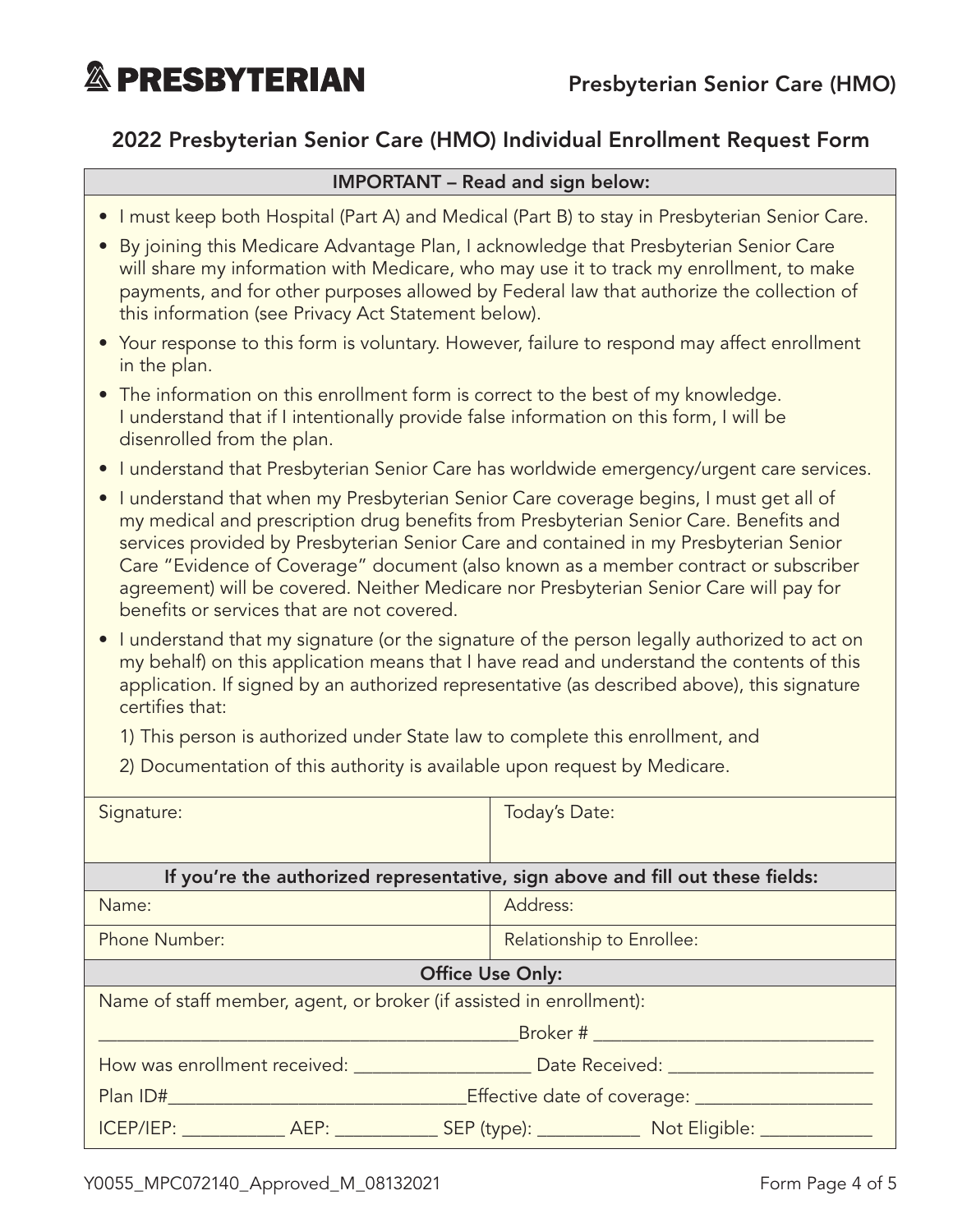**& PRESBYTERIAN** 

#### 2022 Presbyterian Senior Care (HMO) Individual Enrollment Request Form

#### IMPORTANT – Read and sign below:

- I must keep both Hospital (Part A) and Medical (Part B) to stay in Presbyterian Senior Care.
- By joining this Medicare Advantage Plan, I acknowledge that Presbyterian Senior Care will share my information with Medicare, who may use it to track my enrollment, to make payments, and for other purposes allowed by Federal law that authorize the collection of this information (see Privacy Act Statement below).
- Your response to this form is voluntary. However, failure to respond may affect enrollment in the plan.
- The information on this enrollment form is correct to the best of my knowledge. I understand that if I intentionally provide false information on this form, I will be disenrolled from the plan.
- I understand that Presbyterian Senior Care has worldwide emergency/urgent care services.
- I understand that when my Presbyterian Senior Care coverage begins, I must get all of my medical and prescription drug benefits from Presbyterian Senior Care. Benefits and services provided by Presbyterian Senior Care and contained in my Presbyterian Senior Care "Evidence of Coverage" document (also known as a member contract or subscriber agreement) will be covered. Neither Medicare nor Presbyterian Senior Care will pay for benefits or services that are not covered.
- I understand that my signature (or the signature of the person legally authorized to act on my behalf) on this application means that I have read and understand the contents of this application. If signed by an authorized representative (as described above), this signature certifies that:

1) This person is authorized under State law to complete this enrollment, and

2) Documentation of this authority is available upon request by Medicare.

| Signature:                                                                                         | Today's Date:             |  |  |  |
|----------------------------------------------------------------------------------------------------|---------------------------|--|--|--|
|                                                                                                    |                           |  |  |  |
| If you're the authorized representative, sign above and fill out these fields:                     |                           |  |  |  |
| Name:                                                                                              | Address:                  |  |  |  |
| <b>Phone Number:</b>                                                                               | Relationship to Enrollee: |  |  |  |
| <b>Office Use Only:</b>                                                                            |                           |  |  |  |
| Name of staff member, agent, or broker (if assisted in enrollment):                                |                           |  |  |  |
|                                                                                                    |                           |  |  |  |
| How was enrollment received: The Mate Received Date Received:                                      |                           |  |  |  |
| Effective date of coverage: _______________<br><b>Plan ID# Example 2014</b>                        |                           |  |  |  |
| ICEP/IEP: ______________ AEP: ______________ SEP (type): _______________ Not Eligible: ___________ |                           |  |  |  |